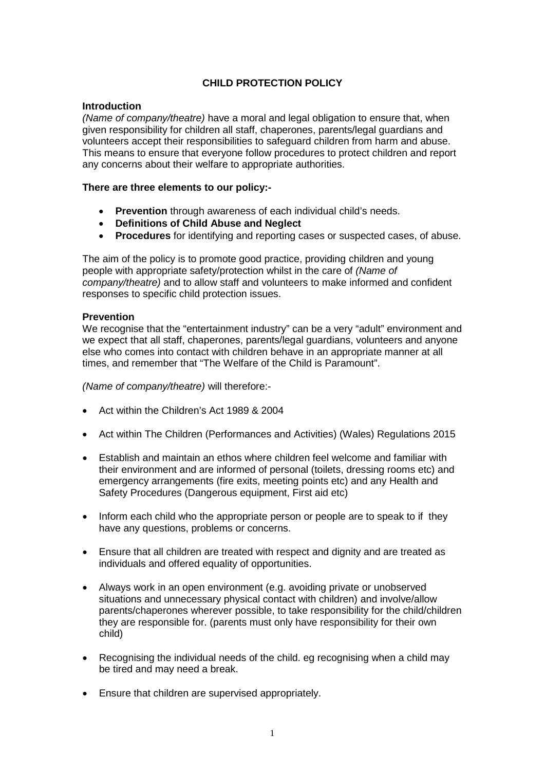### **CHILD PROTECTION POLICY**

#### **Introduction**

*(Name of company/theatre)* have a moral and legal obligation to ensure that, when given responsibility for children all staff, chaperones, parents/legal guardians and volunteers accept their responsibilities to safeguard children from harm and abuse. This means to ensure that everyone follow procedures to protect children and report any concerns about their welfare to appropriate authorities.

#### **There are three elements to our policy:-**

- **Prevention** through awareness of each individual child's needs.
- **Definitions of Child Abuse and Neglect**
- **Procedures** for identifying and reporting cases or suspected cases, of abuse.

The aim of the policy is to promote good practice, providing children and young people with appropriate safety/protection whilst in the care of *(Name of company/theatre)* and to allow staff and volunteers to make informed and confident responses to specific child protection issues.

#### **Prevention**

We recognise that the "entertainment industry" can be a very "adult" environment and we expect that all staff, chaperones, parents/legal guardians, volunteers and anyone else who comes into contact with children behave in an appropriate manner at all times, and remember that "The Welfare of the Child is Paramount".

*(Name of company/theatre)* will therefore:-

- Act within the Children's Act 1989 & 2004
- Act within The Children (Performances and Activities) (Wales) Regulations 2015
- Establish and maintain an ethos where children feel welcome and familiar with their environment and are informed of personal (toilets, dressing rooms etc) and emergency arrangements (fire exits, meeting points etc) and any Health and Safety Procedures (Dangerous equipment, First aid etc)
- Inform each child who the appropriate person or people are to speak to if they have any questions, problems or concerns.
- Ensure that all children are treated with respect and dignity and are treated as individuals and offered equality of opportunities.
- Always work in an open environment (e.g. avoiding private or unobserved situations and unnecessary physical contact with children) and involve/allow parents/chaperones wherever possible, to take responsibility for the child/children they are responsible for. (parents must only have responsibility for their own child)
- Recognising the individual needs of the child. eg recognising when a child may be tired and may need a break.
- Ensure that children are supervised appropriately.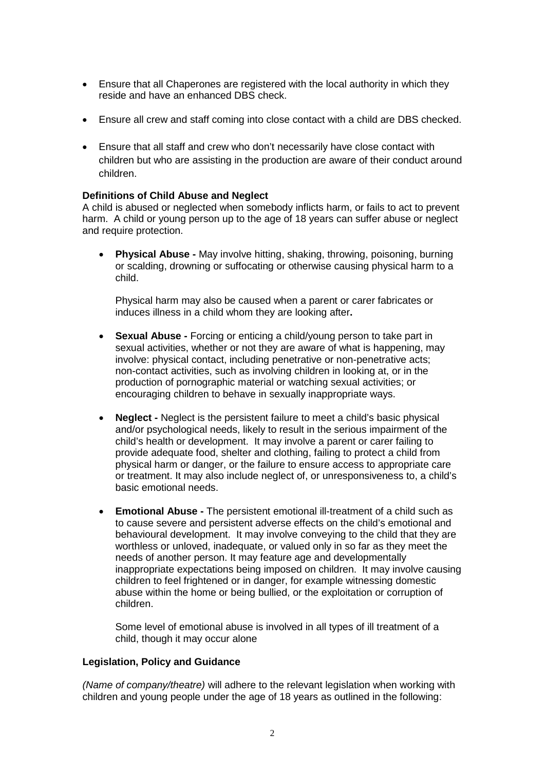- Ensure that all Chaperones are registered with the local authority in which they reside and have an enhanced DBS check.
- Ensure all crew and staff coming into close contact with a child are DBS checked.
- Ensure that all staff and crew who don't necessarily have close contact with children but who are assisting in the production are aware of their conduct around children.

#### **Definitions of Child Abuse and Neglect**

A child is abused or neglected when somebody inflicts harm, or fails to act to prevent harm. A child or young person up to the age of 18 years can suffer abuse or neglect and require protection.

• **Physical Abuse -** May involve hitting, shaking, throwing, poisoning, burning or scalding, drowning or suffocating or otherwise causing physical harm to a child.

Physical harm may also be caused when a parent or carer fabricates or induces illness in a child whom they are looking after**.**

- **Sexual Abuse -** Forcing or enticing a child/young person to take part in sexual activities, whether or not they are aware of what is happening, may involve: physical contact, including penetrative or non-penetrative acts; non-contact activities, such as involving children in looking at, or in the production of pornographic material or watching sexual activities; or encouraging children to behave in sexually inappropriate ways.
- **Neglect -** Neglect is the persistent failure to meet a child's basic physical and/or psychological needs, likely to result in the serious impairment of the child's health or development. It may involve a parent or carer failing to provide adequate food, shelter and clothing, failing to protect a child from physical harm or danger, or the failure to ensure access to appropriate care or treatment. It may also include neglect of, or unresponsiveness to, a child's basic emotional needs.
- **Emotional Abuse -** The persistent emotional ill-treatment of a child such as to cause severe and persistent adverse effects on the child's emotional and behavioural development. It may involve conveying to the child that they are worthless or unloved, inadequate, or valued only in so far as they meet the needs of another person. It may feature age and developmentally inappropriate expectations being imposed on children. It may involve causing children to feel frightened or in danger, for example witnessing domestic abuse within the home or being bullied, or the exploitation or corruption of children.

Some level of emotional abuse is involved in all types of ill treatment of a child, though it may occur alone

#### **Legislation, Policy and Guidance**

*(Name of company/theatre)* will adhere to the relevant legislation when working with children and young people under the age of 18 years as outlined in the following: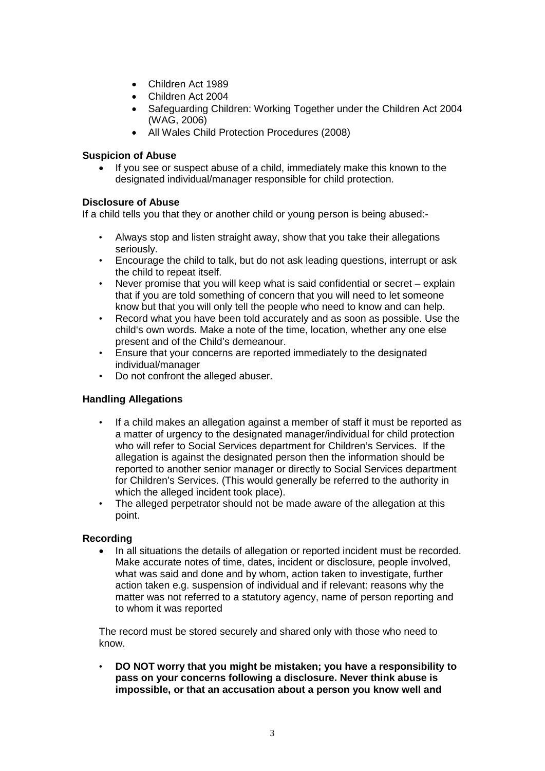- Children Act 1989
- Children Act 2004
- Safeguarding Children: Working Together under the Children Act 2004 (WAG, 2006)
- All Wales Child Protection Procedures (2008)

### **Suspicion of Abuse**

• If you see or suspect abuse of a child, immediately make this known to the designated individual/manager responsible for child protection.

### **Disclosure of Abuse**

If a child tells you that they or another child or young person is being abused:-

- Always stop and listen straight away, show that you take their allegations seriously.
- Encourage the child to talk, but do not ask leading questions, interrupt or ask the child to repeat itself.
- Never promise that you will keep what is said confidential or secret explain that if you are told something of concern that you will need to let someone know but that you will only tell the people who need to know and can help.
- Record what you have been told accurately and as soon as possible. Use the child's own words. Make a note of the time, location, whether any one else present and of the Child's demeanour.
- Ensure that your concerns are reported immediately to the designated individual/manager
- Do not confront the alleged abuser.

### **Handling Allegations**

- If a child makes an allegation against a member of staff it must be reported as a matter of urgency to the designated manager/individual for child protection who will refer to Social Services department for Children's Services. If the allegation is against the designated person then the information should be reported to another senior manager or directly to Social Services department for Children's Services. (This would generally be referred to the authority in which the alleged incident took place).
- The alleged perpetrator should not be made aware of the allegation at this point.

### **Recording**

• In all situations the details of allegation or reported incident must be recorded. Make accurate notes of time, dates, incident or disclosure, people involved, what was said and done and by whom, action taken to investigate, further action taken e.g. suspension of individual and if relevant: reasons why the matter was not referred to a statutory agency, name of person reporting and to whom it was reported

The record must be stored securely and shared only with those who need to know.

• **DO NOT worry that you might be mistaken; you have a responsibility to pass on your concerns following a disclosure. Never think abuse is impossible, or that an accusation about a person you know well and**